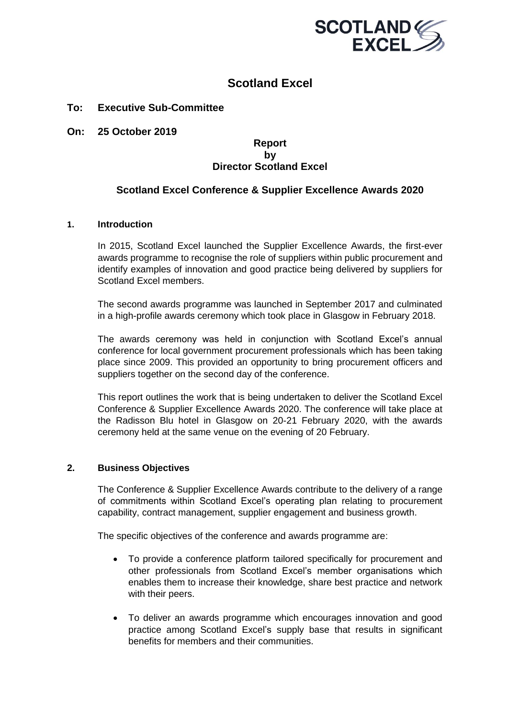

# **Scotland Excel**

# **To: Executive Sub-Committee**

**On: 25 October 2019**

#### **Report by Director Scotland Excel**

# **Scotland Excel Conference & Supplier Excellence Awards 2020**

#### **1. Introduction**

In 2015, Scotland Excel launched the Supplier Excellence Awards, the first-ever awards programme to recognise the role of suppliers within public procurement and identify examples of innovation and good practice being delivered by suppliers for Scotland Excel members.

The second awards programme was launched in September 2017 and culminated in a high-profile awards ceremony which took place in Glasgow in February 2018.

The awards ceremony was held in conjunction with Scotland Excel's annual conference for local government procurement professionals which has been taking place since 2009. This provided an opportunity to bring procurement officers and suppliers together on the second day of the conference.

This report outlines the work that is being undertaken to deliver the Scotland Excel Conference & Supplier Excellence Awards 2020. The conference will take place at the Radisson Blu hotel in Glasgow on 20-21 February 2020, with the awards ceremony held at the same venue on the evening of 20 February.

#### **2. Business Objectives**

The Conference & Supplier Excellence Awards contribute to the delivery of a range of commitments within Scotland Excel's operating plan relating to procurement capability, contract management, supplier engagement and business growth.

The specific objectives of the conference and awards programme are:

- To provide a conference platform tailored specifically for procurement and other professionals from Scotland Excel's member organisations which enables them to increase their knowledge, share best practice and network with their peers.
- To deliver an awards programme which encourages innovation and good practice among Scotland Excel's supply base that results in significant benefits for members and their communities.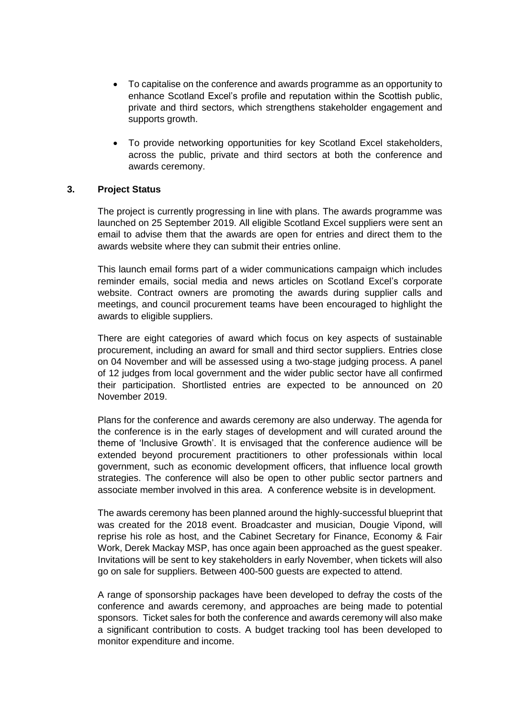- To capitalise on the conference and awards programme as an opportunity to enhance Scotland Excel's profile and reputation within the Scottish public, private and third sectors, which strengthens stakeholder engagement and supports growth.
- To provide networking opportunities for key Scotland Excel stakeholders, across the public, private and third sectors at both the conference and awards ceremony.

### **3. Project Status**

The project is currently progressing in line with plans. The awards programme was launched on 25 September 2019. All eligible Scotland Excel suppliers were sent an email to advise them that the awards are open for entries and direct them to the awards website where they can submit their entries online.

This launch email forms part of a wider communications campaign which includes reminder emails, social media and news articles on Scotland Excel's corporate website. Contract owners are promoting the awards during supplier calls and meetings, and council procurement teams have been encouraged to highlight the awards to eligible suppliers.

There are eight categories of award which focus on key aspects of sustainable procurement, including an award for small and third sector suppliers. Entries close on 04 November and will be assessed using a two-stage judging process. A panel of 12 judges from local government and the wider public sector have all confirmed their participation. Shortlisted entries are expected to be announced on 20 November 2019.

Plans for the conference and awards ceremony are also underway. The agenda for the conference is in the early stages of development and will curated around the theme of 'Inclusive Growth'. It is envisaged that the conference audience will be extended beyond procurement practitioners to other professionals within local government, such as economic development officers, that influence local growth strategies. The conference will also be open to other public sector partners and associate member involved in this area. A conference website is in development.

The awards ceremony has been planned around the highly-successful blueprint that was created for the 2018 event. Broadcaster and musician, Dougie Vipond, will reprise his role as host, and the Cabinet Secretary for Finance, Economy & Fair Work, Derek Mackay MSP, has once again been approached as the guest speaker. Invitations will be sent to key stakeholders in early November, when tickets will also go on sale for suppliers. Between 400-500 guests are expected to attend.

A range of sponsorship packages have been developed to defray the costs of the conference and awards ceremony, and approaches are being made to potential sponsors. Ticket sales for both the conference and awards ceremony will also make a significant contribution to costs. A budget tracking tool has been developed to monitor expenditure and income.